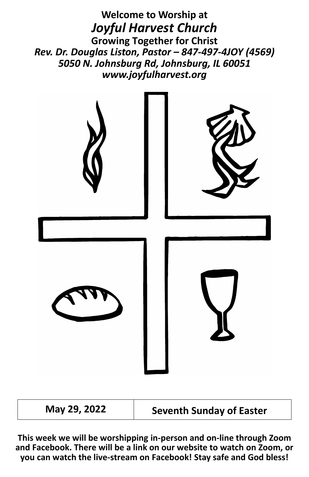**Welcome to Worship at** *Joyful Harvest Church* **Growing Together for Christ** *Rev. Dr. Douglas Liston, Pastor – 847-497-4JOY (4569) 5050 N. Johnsburg Rd, Johnsburg, IL 60051 www.joyfulharvest.org*



**May 29, 2022 Seventh Sunday of Easter**

**This week we will be worshipping in-person and on-line through Zoom and Facebook. There will be a link on our website to watch on Zoom, or you can watch the live-stream on Facebook! Stay safe and God bless!**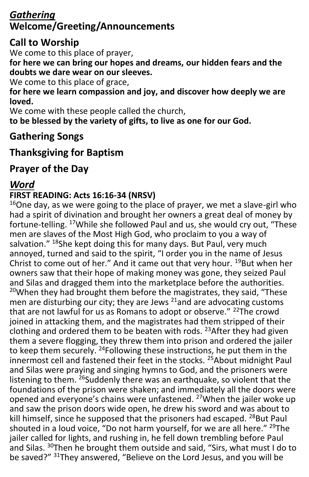## *Gathering* **Welcome/Greeting/Announcements**

## **Call to Worship**

We come to this place of prayer,

**for here we can bring our hopes and dreams, our hidden fears and the doubts we dare wear on our sleeves.**

We come to this place of grace,

**for here we learn compassion and joy, and discover how deeply we are loved.**

We come with these people called the church,

**to be blessed by the variety of gifts, to live as one for our God.**

## **Gathering Songs**

## **Thanksgiving for Baptism**

## **Prayer of the Day**

## *Word*

#### **FIRST READING: Acts 16:16-34 (NRSV)**

 $16$ One day, as we were going to the place of prayer, we met a slave-girl who had a spirit of divination and brought her owners a great deal of money by fortune-telling. <sup>17</sup>While she followed Paul and us, she would cry out, "These men are slaves of the Most High God, who proclaim to you a way of salvation." <sup>18</sup>She kept doing this for many days. But Paul, very much annoyed, turned and said to the spirit, "I order you in the name of Jesus Christ to come out of her." And it came out that very hour. <sup>19</sup>But when her owners saw that their hope of making money was gone, they seized Paul and Silas and dragged them into the marketplace before the authorities.  $20$ When they had brought them before the magistrates, they said, "These men are disturbing our city; they are Jews  $^{21}$ and are advocating customs that are not lawful for us as Romans to adopt or observe." <sup>22</sup>The crowd joined in attacking them, and the magistrates had them stripped of their clothing and ordered them to be beaten with rods. <sup>23</sup>After they had given them a severe flogging, they threw them into prison and ordered the jailer to keep them securely. <sup>24</sup>Following these instructions, he put them in the innermost cell and fastened their feet in the stocks. <sup>25</sup>About midnight Paul and Silas were praying and singing hymns to God, and the prisoners were listening to them. <sup>26</sup>Suddenly there was an earthquake, so violent that the foundations of the prison were shaken; and immediately all the doors were opened and everyone's chains were unfastened. <sup>27</sup>When the jailer woke up and saw the prison doors wide open, he drew his sword and was about to kill himself, since he supposed that the prisoners had escaped. <sup>28</sup>But Paul shouted in a loud voice, "Do not harm yourself, for we are all here." <sup>29</sup>The jailer called for lights, and rushing in, he fell down trembling before Paul and Silas. <sup>30</sup>Then he brought them outside and said, "Sirs, what must I do to be saved?" 31They answered, "Believe on the Lord Jesus, and you will be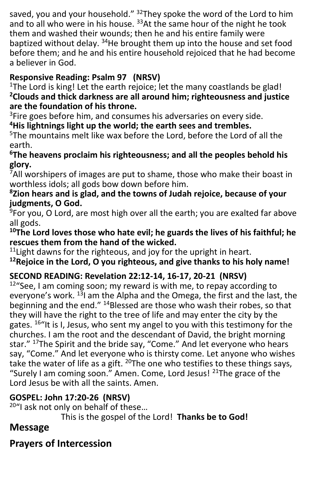saved, you and your household."  $32$ They spoke the word of the Lord to him and to all who were in his house. <sup>33</sup>At the same hour of the night he took them and washed their wounds; then he and his entire family were baptized without delay. <sup>34</sup>He brought them up into the house and set food before them; and he and his entire household rejoiced that he had become a believer in God.

## **Responsive Reading: Psalm 97 (NRSV)**

<sup>1</sup>The Lord is king! Let the earth rejoice; let the many coastlands be glad! **<sup>2</sup>Clouds and thick darkness are all around him; righteousness and justice are the foundation of his throne.**

<sup>3</sup>Fire goes before him, and consumes his adversaries on every side.

**<sup>4</sup>His lightnings light up the world; the earth sees and trembles.**

<sup>5</sup>The mountains melt like wax before the Lord, before the Lord of all the earth.

#### **<sup>6</sup>The heavens proclaim his righteousness; and all the peoples behold his glory.**

 $7$ All worshipers of images are put to shame, those who make their boast in worthless idols; all gods bow down before him.

#### **<sup>8</sup>Zion hears and is glad, and the towns of Judah rejoice, because of your judgments, O God.**

<sup>9</sup>For you, O Lord, are most high over all the earth; you are exalted far above all gods.

#### **<sup>10</sup>The Lord loves those who hate evil; he guards the lives of his faithful; he rescues them from the hand of the wicked.**

 $11$ Light dawns for the righteous, and joy for the upright in heart.

**<sup>12</sup>Rejoice in the Lord, O you righteous, and give thanks to his holy name!**

## **SECOND READING: Revelation 22:12-14, 16-17, 20-21 (NRSV)**

 $12^{\mu}$ See, I am coming soon; my reward is with me, to repay according to everyone's work. <sup>13</sup>l am the Alpha and the Omega, the first and the last, the beginning and the end." <sup>14</sup>Blessed are those who wash their robes, so that they will have the right to the tree of life and may enter the city by the gates. <sup>16"</sup>It is I, Jesus, who sent my angel to you with this testimony for the churches. I am the root and the descendant of David, the bright morning star." <sup>17</sup>The Spirit and the bride say, "Come." And let everyone who hears say, "Come." And let everyone who is thirsty come. Let anyone who wishes take the water of life as a gift.  $^{20}$ The one who testifies to these things says, "Surely I am coming soon." Amen. Come, Lord Jesus! <sup>21</sup>The grace of the Lord Jesus be with all the saints. Amen.

## **GOSPEL: John 17:20-26 (NRSV)**

<sup>20"</sup>I ask not only on behalf of these...

This is the gospel of the Lord! **Thanks be to God!**

# **Message**

# **Prayers of Intercession**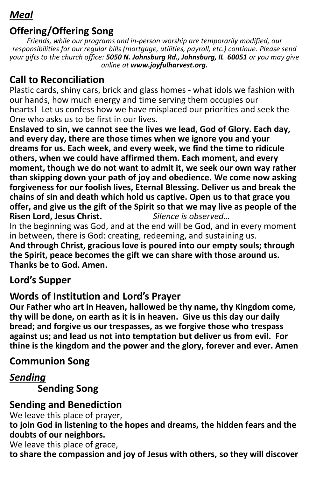## *Meal*

## **Offering/Offering Song**

*Friends, while our programs and in-person worship are temporarily modified, our responsibilities for our regular bills (mortgage, utilities, payroll, etc.) continue. Please send your gifts to the church office: 5050 N. Johnsburg Rd., Johnsburg, IL 60051 or you may give online at www.joyfulharvest.org.*

## **Call to Reconciliation**

Plastic cards, shiny cars, brick and glass homes - what idols we fashion with our hands, how much energy and time serving them occupies our hearts! Let us confess how we have misplaced our priorities and seek the One who asks us to be first in our lives.

**Enslaved to sin, we cannot see the lives we lead, God of Glory. Each day, and every day, there are those times when we ignore you and your dreams for us. Each week, and every week, we find the time to ridicule others, when we could have affirmed them. Each moment, and every moment, though we do not want to admit it, we seek our own way rather than skipping down your path of joy and obedience. We come now asking forgiveness for our foolish lives, Eternal Blessing. Deliver us and break the chains of sin and death which hold us captive. Open us to that grace you offer, and give us the gift of the Spirit so that we may live as people of the <br>Risen Lord, Jesus Christ,** *Silence is observed...* **Risen Lord, Jesus Christ.** 

In the beginning was God, and at the end will be God, and in every moment in between, there is God: creating, redeeming, and sustaining us.

**And through Christ, gracious love is poured into our empty souls; through the Spirit, peace becomes the gift we can share with those around us. Thanks be to God. Amen.**

## **Lord's Supper**

## **Words of Institution and Lord's Prayer**

**Our Father who art in Heaven, hallowed be thy name, thy Kingdom come, thy will be done, on earth as it is in heaven. Give us this day our daily bread; and forgive us our trespasses, as we forgive those who trespass against us; and lead us not into temptation but deliver us from evil. For thine is the kingdom and the power and the glory, forever and ever. Amen**

## **Communion Song**

## *Sending*

**Sending Song**

## **Sending and Benediction**

We leave this place of prayer,

**to join God in listening to the hopes and dreams, the hidden fears and the doubts of our neighbors.**

We leave this place of grace,

**to share the compassion and joy of Jesus with others, so they will discover**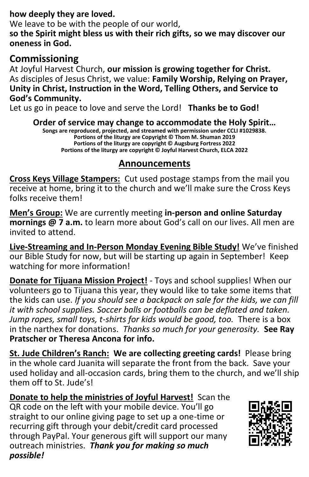#### **how deeply they are loved.**

We leave to be with the people of our world. **so the Spirit might bless us with their rich gifts, so we may discover our oneness in God.**

#### **Commissioning**

At Joyful Harvest Church, **our mission is growing together for Christ.** As disciples of Jesus Christ, we value: **Family Worship, Relying on Prayer, Unity in Christ, Instruction in the Word, Telling Others, and Service to God's Community.**

Let us go in peace to love and serve the Lord! **Thanks be to God!**

**Order of service may change to accommodate the Holy Spirit…**

**Songs are reproduced, projected, and streamed with permission under CCLI #1029838. Portions of the liturgy are Copyright © Thom M. Shuman 2019 Portions of the liturgy are copyright © Augsburg Fortress 2022 Portions of the liturgy are copyright © Joyful Harvest Church, ELCA 2022**

#### **Announcements**

**Cross Keys Village Stampers:** Cut used postage stamps from the mail you receive at home, bring it to the church and we'll make sure the Cross Keys folks receive them!

**Men's Group:** We are currently meeting **in-person and online Saturday mornings @ 7 a.m.** to learn more about God's call on our lives. All men are invited to attend.

**Live-Streaming and In-Person Monday Evening Bible Study!** We've finished our Bible Study for now, but will be starting up again in September! Keep watching for more information!

**Donate for Tijuana Mission Project!** - Toys and school supplies! When our volunteers go to Tijuana this year, they would like to take some items that the kids can use. *If you should see a backpack on sale for the kids, we can fill it with school supplies. Soccer balls or footballs can be deflated and taken. Jump ropes, small toys, t-shirts for kids would be good, too.* There is a box in the narthex for donations. *Thanks so much for your generosity.* **See Ray Pratscher or Theresa Ancona for info.**

**St. Jude Children's Ranch: We are collecting greeting cards!** Please bring in the whole card Juanita will separate the front from the back. Save your used holiday and all-occasion cards, bring them to the church, and we'll ship them off to St. Jude's!

**Donate to help the ministries of Joyful Harvest!** Scan the QR code on the left with your mobile device. You'll go straight to our online giving page to set up a one-time or recurring gift through your debit/credit card processed through PayPal. Your generous gift will support our many outreach ministries.*Thank you for making so much possible!*

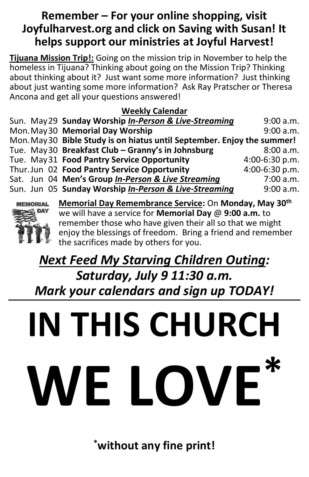## **Remember – For your online shopping, visit Joyfulharvest.org and click on Saving with Susan! It helps support our ministries at Joyful Harvest!**

**Tijuana Mission Trip!:** Going on the mission trip in November to help the homeless in Tijuana? Thinking about going on the Mission Trip? Thinking about thinking about it? Just want some more information? Just thinking about iust wanting some more information? Ask Ray Pratscher or Theresa Ancona and get all your questions answered!

#### **Weekly Calendar**

| Sun. May 29 Sunday Worship In-Person & Live-Streaming                   | 9:00 a.m.      |
|-------------------------------------------------------------------------|----------------|
| Mon. May 30 Memorial Day Worship                                        | 9:00 a.m.      |
| Mon. May 30 Bible Study is on hiatus until September. Enjoy the summer! |                |
| Tue. May 30 Breakfast Club - Granny's in Johnsburg                      | 8:00 a.m.      |
| Tue. May 31 Food Pantry Service Opportunity                             | 4:00-6:30 p.m. |
| Thur. Jun 02 Food Pantry Service Opportunity                            | 4:00-6:30 p.m. |
| Sat. Jun 04 Men's Group In-Person & Live Streaming                      | 7:00 a.m.      |
| Sun. Jun 05 Sunday Worship In-Person & Live-Streaming                   | 9:00 a.m.      |
|                                                                         |                |



**Memorial Day Remembrance Service:** On **Monday, May 30th** we will have a service for **Memorial Day** @ **9:00 a.m.** to remember those who have given their all so that we might enjoy the blessings of freedom. Bring a friend and remember the sacrifices made by others for you.

# *Next Feed My Starving Children Outing: Saturday, July 9 11:30 a.m. Mark your calendars and sign up TODAY!*

# **IN THIS CHURCH** WE LOVE

**\*without any fine print!**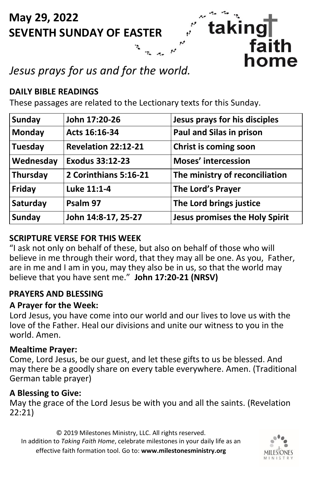# **May 29, 2022 SEVENTH SUNDAY OF EASTER**

# *Jesus prays for us and for the world.*

#### **DAILY BIBLE READINGS**

These passages are related to the Lectionary texts for this Sunday.

| <b>Sunday</b> | John 17:20-26         | Jesus prays for his disciples         |
|---------------|-----------------------|---------------------------------------|
| Monday        | Acts 16:16-34         | Paul and Silas in prison              |
| Tuesday       | Revelation 22:12-21   | Christ is coming soon                 |
| Wednesday     | Exodus 33:12-23       | <b>Moses' intercession</b>            |
| Thursday      | 2 Corinthians 5:16-21 | The ministry of reconciliation        |
| Friday        | Luke 11:1-4           | The Lord's Prayer                     |
| Saturday      | Psalm 97              | The Lord brings justice               |
| <b>Sunday</b> | John 14:8-17, 25-27   | <b>Jesus promises the Holy Spirit</b> |

taking

faith home

#### **SCRIPTURE VERSE FOR THIS WEEK**

"I ask not only on behalf of these, but also on behalf of those who will believe in me through their word, that they may all be one. As you, Father, are in me and I am in you, may they also be in us, so that the world may believe that you have sent me." **John 17:20-21 (NRSV)**

#### **PRAYERS AND BLESSING**

#### **A Prayer for the Week:**

Lord Jesus, you have come into our world and our lives to love us with the love of the Father. Heal our divisions and unite our witness to you in the world. Amen.

#### **Mealtime Prayer:**

Come, Lord Jesus, be our guest, and let these gifts to us be blessed. And may there be a goodly share on every table everywhere. Amen. (Traditional German table prayer)

#### **A Blessing to Give:**

May the grace of the Lord Jesus be with you and all the saints. (Revelation 22:21)

© 2019 Milestones Ministry, LLC. All rights reserved. In addition to *Taking Faith Home*, celebrate milestones in your daily life as an effective faith formation tool. Go to: **www.milestonesministry.org**